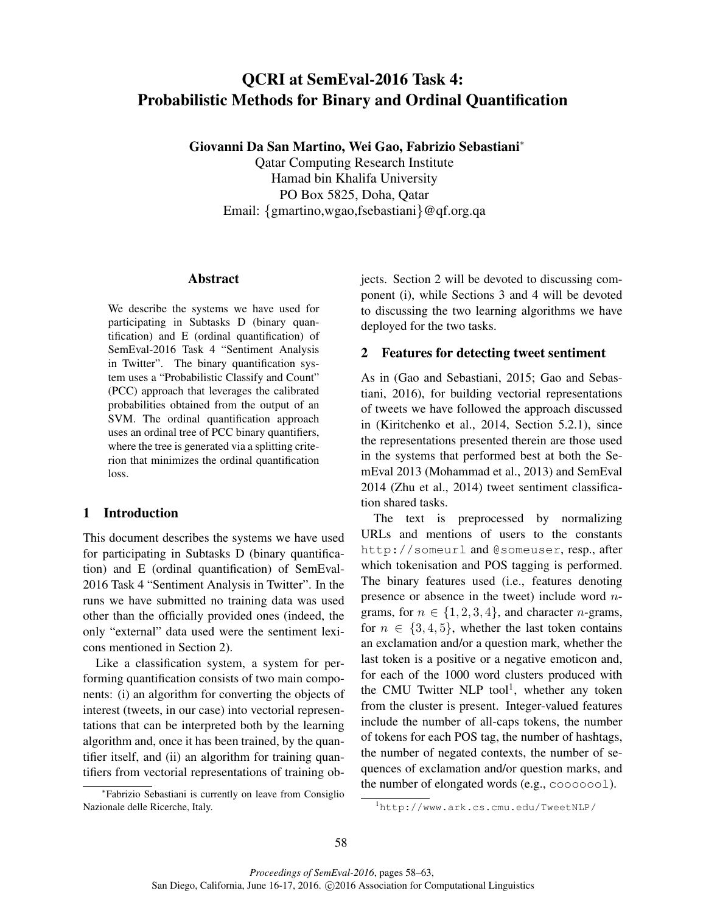# QCRI at SemEval-2016 Task 4: Probabilistic Methods for Binary and Ordinal Quantification

Giovanni Da San Martino, Wei Gao, Fabrizio Sebastiani<sup>∗</sup>

Qatar Computing Research Institute Hamad bin Khalifa University PO Box 5825, Doha, Qatar Email: {gmartino,wgao,fsebastiani}@qf.org.qa

### Abstract

We describe the systems we have used for participating in Subtasks D (binary quantification) and E (ordinal quantification) of SemEval-2016 Task 4 "Sentiment Analysis in Twitter". The binary quantification system uses a "Probabilistic Classify and Count" (PCC) approach that leverages the calibrated probabilities obtained from the output of an SVM. The ordinal quantification approach uses an ordinal tree of PCC binary quantifiers, where the tree is generated via a splitting criterion that minimizes the ordinal quantification loss.

# 1 Introduction

This document describes the systems we have used for participating in Subtasks D (binary quantification) and E (ordinal quantification) of SemEval-2016 Task 4 "Sentiment Analysis in Twitter". In the runs we have submitted no training data was used other than the officially provided ones (indeed, the only "external" data used were the sentiment lexicons mentioned in Section 2).

Like a classification system, a system for performing quantification consists of two main components: (i) an algorithm for converting the objects of interest (tweets, in our case) into vectorial representations that can be interpreted both by the learning algorithm and, once it has been trained, by the quantifier itself, and (ii) an algorithm for training quantifiers from vectorial representations of training ob-

∗ Fabrizio Sebastiani is currently on leave from Consiglio Nazionale delle Ricerche, Italy.

jects. Section 2 will be devoted to discussing component (i), while Sections 3 and 4 will be devoted to discussing the two learning algorithms we have deployed for the two tasks.

# 2 Features for detecting tweet sentiment

As in (Gao and Sebastiani, 2015; Gao and Sebastiani, 2016), for building vectorial representations of tweets we have followed the approach discussed in (Kiritchenko et al., 2014, Section 5.2.1), since the representations presented therein are those used in the systems that performed best at both the SemEval 2013 (Mohammad et al., 2013) and SemEval 2014 (Zhu et al., 2014) tweet sentiment classification shared tasks.

The text is preprocessed by normalizing URLs and mentions of users to the constants http://someurl and @someuser, resp., after which tokenisation and POS tagging is performed. The binary features used (i.e., features denoting presence or absence in the tweet) include word  $n$ grams, for  $n \in \{1, 2, 3, 4\}$ , and character *n*-grams, for  $n \in \{3, 4, 5\}$ , whether the last token contains an exclamation and/or a question mark, whether the last token is a positive or a negative emoticon and, for each of the 1000 word clusters produced with the CMU Twitter NLP tool<sup>1</sup>, whether any token from the cluster is present. Integer-valued features include the number of all-caps tokens, the number of tokens for each POS tag, the number of hashtags, the number of negated contexts, the number of sequences of exclamation and/or question marks, and the number of elongated words (e.g., cooooool).

<sup>1</sup>http://www.ark.cs.cmu.edu/TweetNLP/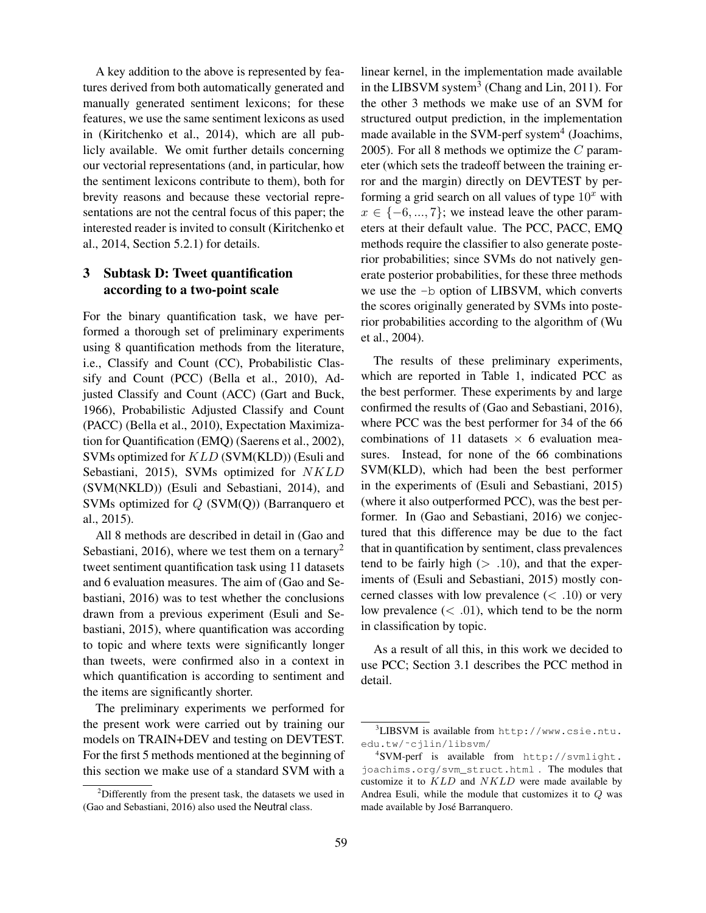A key addition to the above is represented by features derived from both automatically generated and manually generated sentiment lexicons; for these features, we use the same sentiment lexicons as used in (Kiritchenko et al., 2014), which are all publicly available. We omit further details concerning our vectorial representations (and, in particular, how the sentiment lexicons contribute to them), both for brevity reasons and because these vectorial representations are not the central focus of this paper; the interested reader is invited to consult (Kiritchenko et al., 2014, Section 5.2.1) for details.

# 3 Subtask D: Tweet quantification according to a two-point scale

For the binary quantification task, we have performed a thorough set of preliminary experiments using 8 quantification methods from the literature, i.e., Classify and Count (CC), Probabilistic Classify and Count (PCC) (Bella et al., 2010), Adjusted Classify and Count (ACC) (Gart and Buck, 1966), Probabilistic Adjusted Classify and Count (PACC) (Bella et al., 2010), Expectation Maximization for Quantification (EMQ) (Saerens et al., 2002), SVMs optimized for KLD (SVM(KLD)) (Esuli and Sebastiani, 2015), SVMs optimized for NKLD (SVM(NKLD)) (Esuli and Sebastiani, 2014), and SVMs optimized for Q (SVM(Q)) (Barranquero et al., 2015).

All 8 methods are described in detail in (Gao and Sebastiani, 2016), where we test them on a ternary<sup>2</sup> tweet sentiment quantification task using 11 datasets and 6 evaluation measures. The aim of (Gao and Sebastiani, 2016) was to test whether the conclusions drawn from a previous experiment (Esuli and Sebastiani, 2015), where quantification was according to topic and where texts were significantly longer than tweets, were confirmed also in a context in which quantification is according to sentiment and the items are significantly shorter.

The preliminary experiments we performed for the present work were carried out by training our models on TRAIN+DEV and testing on DEVTEST. For the first 5 methods mentioned at the beginning of this section we make use of a standard SVM with a

linear kernel, in the implementation made available in the LIBSVM system<sup>3</sup> (Chang and Lin, 2011). For the other 3 methods we make use of an SVM for structured output prediction, in the implementation made available in the SVM-perf system<sup>4</sup> (Joachims, 2005). For all 8 methods we optimize the  $C$  parameter (which sets the tradeoff between the training error and the margin) directly on DEVTEST by performing a grid search on all values of type  $10^x$  with  $x \in \{-6, ..., 7\}$ ; we instead leave the other parameters at their default value. The PCC, PACC, EMQ methods require the classifier to also generate posterior probabilities; since SVMs do not natively generate posterior probabilities, for these three methods we use the -b option of LIBSVM, which converts the scores originally generated by SVMs into posterior probabilities according to the algorithm of (Wu et al., 2004).

The results of these preliminary experiments, which are reported in Table 1, indicated PCC as the best performer. These experiments by and large confirmed the results of (Gao and Sebastiani, 2016), where PCC was the best performer for 34 of the 66 combinations of 11 datasets  $\times$  6 evaluation measures. Instead, for none of the 66 combinations SVM(KLD), which had been the best performer in the experiments of (Esuli and Sebastiani, 2015) (where it also outperformed PCC), was the best performer. In (Gao and Sebastiani, 2016) we conjectured that this difference may be due to the fact that in quantification by sentiment, class prevalences tend to be fairly high  $(> .10)$ , and that the experiments of (Esuli and Sebastiani, 2015) mostly concerned classes with low prevalence  $(< .10)$  or very low prevalence  $(< .01)$ , which tend to be the norm in classification by topic.

As a result of all this, in this work we decided to use PCC; Section 3.1 describes the PCC method in detail.

<sup>2</sup>Differently from the present task, the datasets we used in (Gao and Sebastiani, 2016) also used the Neutral class.

<sup>3</sup>LIBSVM is available from http://www.csie.ntu. edu.tw/˜cjlin/libsvm/

<sup>4</sup> SVM-perf is available from http://svmlight. joachims.org/svm\_struct.html . The modules that customize it to  $KLD$  and  $NKLD$  were made available by Andrea Esuli, while the module that customizes it to Q was made available by José Barranquero.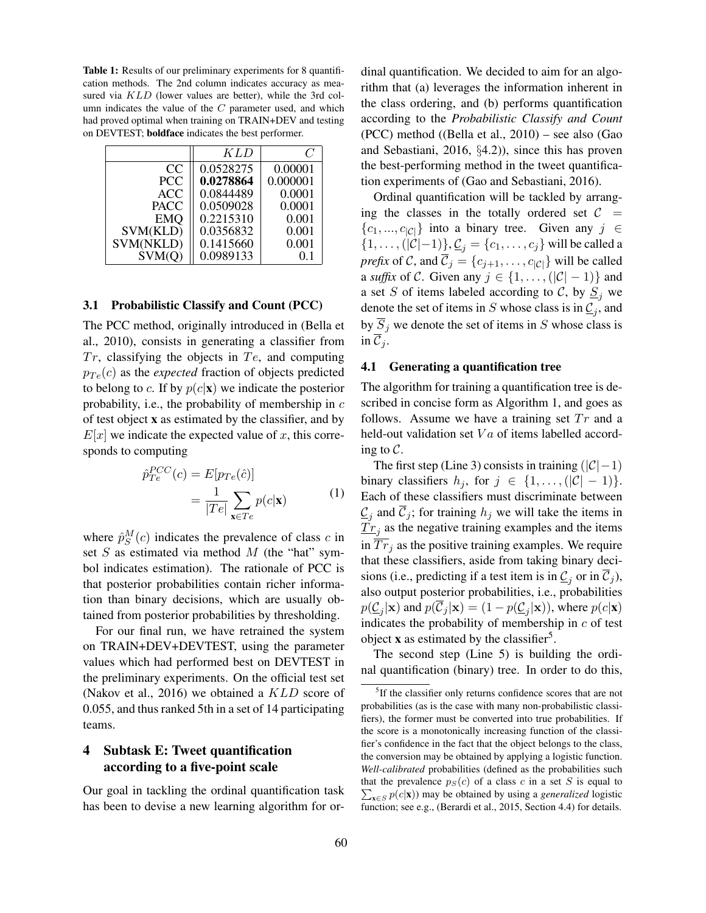Table 1: Results of our preliminary experiments for 8 quantification methods. The 2nd column indicates accuracy as measured via KLD (lower values are better), while the 3rd column indicates the value of the  $C$  parameter used, and which had proved optimal when training on TRAIN+DEV and testing on DEVTEST; boldface indicates the best performer.

|             | K L D     | 6        |
|-------------|-----------|----------|
| CC          | 0.0528275 | 0.00001  |
| <b>PCC</b>  | 0.0278864 | 0.000001 |
| <b>ACC</b>  | 0.0844489 | 0.0001   |
| <b>PACC</b> | 0.0509028 | 0.0001   |
| <b>EMO</b>  | 0.2215310 | 0.001    |
| SVM(KLD)    | 0.0356832 | 0.001    |
| SVM(NKLD)   | 0.1415660 | 0.001    |
| SVM(O)      | 0.0989133 | 0.1      |

#### 3.1 Probabilistic Classify and Count (PCC)

The PCC method, originally introduced in (Bella et al., 2010), consists in generating a classifier from  $Tr$ , classifying the objects in  $Te$ , and computing  $p_{Te}(c)$  as the *expected* fraction of objects predicted to belong to c. If by  $p(c|\mathbf{x})$  we indicate the posterior probability, i.e., the probability of membership in  $c$ of test object x as estimated by the classifier, and by  $E[x]$  we indicate the expected value of x, this corresponds to computing

$$
\hat{p}_{Te}^{PCC}(c) = E[p_{Te}(\hat{c})]
$$

$$
= \frac{1}{|Te|} \sum_{\mathbf{x} \in Te} p(c|\mathbf{x}) \tag{1}
$$

where  $\hat{p}_{S}^{M}(c)$  indicates the prevalence of class c in set  $S$  as estimated via method  $M$  (the "hat" symbol indicates estimation). The rationale of PCC is that posterior probabilities contain richer information than binary decisions, which are usually obtained from posterior probabilities by thresholding.

For our final run, we have retrained the system on TRAIN+DEV+DEVTEST, using the parameter values which had performed best on DEVTEST in the preliminary experiments. On the official test set (Nakov et al., 2016) we obtained a KLD score of 0.055, and thus ranked 5th in a set of 14 participating teams.

# 4 Subtask E: Tweet quantification according to a five-point scale

Our goal in tackling the ordinal quantification task has been to devise a new learning algorithm for ordinal quantification. We decided to aim for an algorithm that (a) leverages the information inherent in the class ordering, and (b) performs quantification according to the *Probabilistic Classify and Count* (PCC) method ((Bella et al., 2010) – see also (Gao and Sebastiani, 2016, §4.2)), since this has proven the best-performing method in the tweet quantification experiments of (Gao and Sebastiani, 2016).

Ordinal quantification will be tackled by arranging the classes in the totally ordered set  $C =$  ${c_1, ..., c_{|\mathcal{C}|}}$  into a binary tree. Given any  $j \in \mathcal{C}$  $\{1, \ldots, (|\mathcal{C}|-1)\}, \underline{\mathcal{C}}_j = \{c_1, \ldots, c_j\}$  will be called a *prefix* of C, and  $\overline{C}_j = \{c_{j+1}, \ldots, c_{|\mathcal{C}|}\}\$  will be called a *suffix* of C. Given any  $j \in \{1, \ldots, (|\mathcal{C}|-1)\}\$  and a set S of items labeled according to C, by  $S_i$  we denote the set of items in S whose class is in  $\underline{\mathcal{C}}_j$ , and by  $\overline{S}_i$  we denote the set of items in S whose class is in  $C_i$ .

#### 4.1 Generating a quantification tree

The algorithm for training a quantification tree is described in concise form as Algorithm 1, and goes as follows. Assume we have a training set  $Tr$  and a held-out validation set  $Va$  of items labelled according to  $\mathcal{C}$ .

The first step (Line 3) consists in training  $(|C|-1)$ binary classifiers  $h_j$ , for  $j \in \{1, \ldots, (|\mathcal{C}|-1)\}.$ Each of these classifiers must discriminate between  $\mathcal{L}_j$  and  $\mathcal{C}_j$ ; for training  $h_j$  we will take the items in  $T_{r_j}$  as the negative training examples and the items in  $\overline{Tr}_j$  as the positive training examples. We require that these classifiers, aside from taking binary decisions (i.e., predicting if a test item is in  $\underline{\mathcal{C}}_j$  or in  $\overline{\mathcal{C}}_j$ ), also output posterior probabilities, i.e., probabilities  $p(\mathcal{C}_j|\mathbf{x})$  and  $p(\mathcal{C}_j|\mathbf{x}) = (1 - p(\mathcal{C}_j|\mathbf{x}))$ , where  $p(c|\mathbf{x})$ indicates the probability of membership in  $c$  of test object **x** as estimated by the classifier<sup>5</sup>.

The second step (Line 5) is building the ordinal quantification (binary) tree. In order to do this,

<sup>&</sup>lt;sup>5</sup>If the classifier only returns confidence scores that are not probabilities (as is the case with many non-probabilistic classifiers), the former must be converted into true probabilities. If the score is a monotonically increasing function of the classifier's confidence in the fact that the object belongs to the class, the conversion may be obtained by applying a logistic function. *Well-calibrated* probabilities (defined as the probabilities such that the prevalence  $p_S(c)$  of a class c in a set S is equal to  $\sum_{\mathbf{x} \in S} p(c|\mathbf{x})$  may be obtained by using a *generalized* logistic function; see e.g., (Berardi et al., 2015, Section 4.4) for details.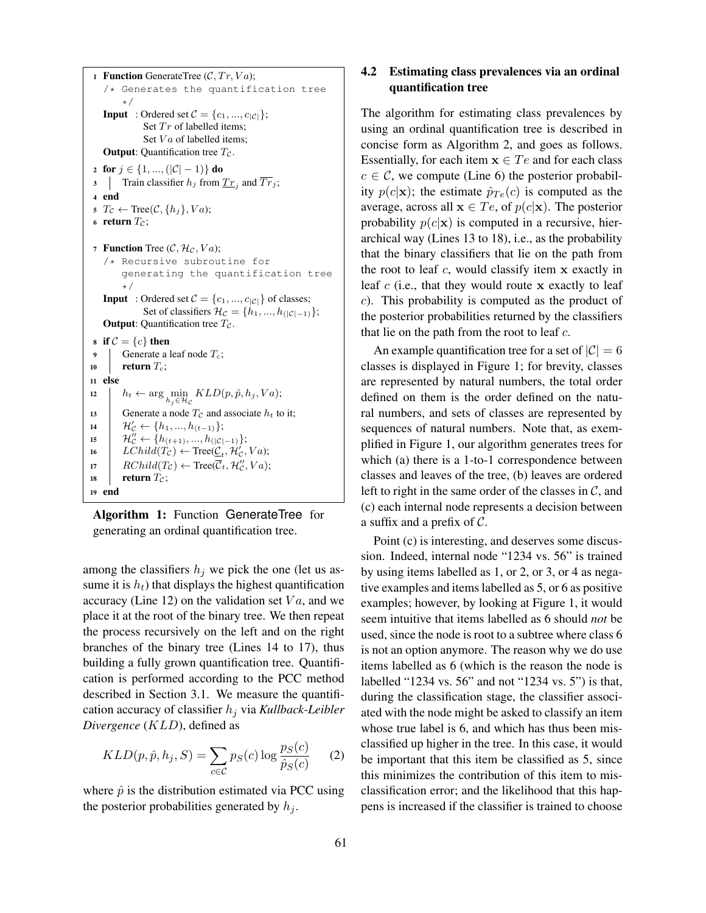```
1 Function GenerateTree (C, Tr, Va);
    /* Generates the quantification tree
          */
    Input : Ordered set C = \{c_1, ..., c_{|C|}\};Set Tr of labelled items;
                 Set Va of labelled items;
    Output: Quantification tree T_c.
 2 for j \in \{1, ..., (|\mathcal{C}|-1)\}\ do
 3 Train classifier h_j from \underline{Tr}_j and Tr_j;
 4 end
 5 T_c \leftarrow \text{Tree}(\mathcal{C}, \{h_j\}, Va);6 return T_c;
7 Function Tree (C, \mathcal{H}_c, Va);
    /* Recursive subroutine for
          generating the quantification tree
          */
    Input : Ordered set C = \{c_1, ..., c_{|\mathcal{C}|}\}\ of classes;
                Set of classifiers \mathcal{H}_{\mathcal{C}} = \{h_1, ..., h_{(|\mathcal{C}|-1)}\};Output: Quantification tree T_c.
8 if C = \{c\} then<br>9 | Generate a l
          Generate a leaf node T_c;
10 return T_c;
11 else
12 h_t \leftarrow \arg\min_{h_j \in \mathcal{H}_{\mathcal{C}}} KLD(p, \hat{p}, h_j, Va);13 Generate a node T_c and associate h_t to it;<br>
\mathcal{H}'_c \leftarrow \{h_1, ..., h_{(t-1)}\}:
14 \mathcal{H}'_c \leftarrow \{h_1, ..., h_{(t-1)}\};15 \{\mathcal{H}'_{\mathcal{C}} \leftarrow \{h_{(t+1)}, ..., h_{(|\mathcal{C}|-1)}\};16 LChild(T_c) \leftarrow Tree(\underline{\mathcal{C}}_t, \mathcal{H}'_C, Va);17 RCchild(T_c) \leftarrow Tree(C_t, \mathcal{H}_c'', Va);18 return T_c;
19 end
```
Algorithm 1: Function GenerateTree for generating an ordinal quantification tree.

among the classifiers  $h_j$  we pick the one (let us assume it is  $h_t$ ) that displays the highest quantification accuracy (Line 12) on the validation set  $Va$ , and we place it at the root of the binary tree. We then repeat the process recursively on the left and on the right branches of the binary tree (Lines 14 to 17), thus building a fully grown quantification tree. Quantification is performed according to the PCC method described in Section 3.1. We measure the quantification accuracy of classifier  $h_i$  via *Kullback-Leibler Divergence* (KLD), defined as

$$
KLD(p, \hat{p}, h_j, S) = \sum_{c \in C} p_S(c) \log \frac{p_S(c)}{\hat{p}_S(c)}
$$
 (2)

where  $\hat{p}$  is the distribution estimated via PCC using the posterior probabilities generated by  $h_i$ .

### 4.2 Estimating class prevalences via an ordinal quantification tree

The algorithm for estimating class prevalences by using an ordinal quantification tree is described in concise form as Algorithm 2, and goes as follows. Essentially, for each item  $x \in Te$  and for each class  $c \in \mathcal{C}$ , we compute (Line 6) the posterior probability  $p(c|\mathbf{x})$ ; the estimate  $\hat{p}_{Te}(c)$  is computed as the average, across all  $\mathbf{x} \in Te$ , of  $p(c|\mathbf{x})$ . The posterior probability  $p(c|\mathbf{x})$  is computed in a recursive, hierarchical way (Lines 13 to 18), i.e., as the probability that the binary classifiers that lie on the path from the root to leaf  $c$ , would classify item  $x$  exactly in leaf  $c$  (i.e., that they would route  $x$  exactly to leaf c). This probability is computed as the product of the posterior probabilities returned by the classifiers that lie on the path from the root to leaf  $c$ .

An example quantification tree for a set of  $|\mathcal{C}| = 6$ classes is displayed in Figure 1; for brevity, classes are represented by natural numbers, the total order defined on them is the order defined on the natural numbers, and sets of classes are represented by sequences of natural numbers. Note that, as exemplified in Figure 1, our algorithm generates trees for which (a) there is a 1-to-1 correspondence between classes and leaves of the tree, (b) leaves are ordered left to right in the same order of the classes in  $C$ , and (c) each internal node represents a decision between a suffix and a prefix of  $\mathcal{C}$ .

Point (c) is interesting, and deserves some discussion. Indeed, internal node "1234 vs. 56" is trained by using items labelled as 1, or 2, or 3, or 4 as negative examples and items labelled as 5, or 6 as positive examples; however, by looking at Figure 1, it would seem intuitive that items labelled as 6 should *not* be used, since the node is root to a subtree where class 6 is not an option anymore. The reason why we do use items labelled as 6 (which is the reason the node is labelled "1234 vs. 56" and not "1234 vs. 5") is that, during the classification stage, the classifier associated with the node might be asked to classify an item whose true label is 6, and which has thus been misclassified up higher in the tree. In this case, it would be important that this item be classified as 5, since this minimizes the contribution of this item to misclassification error; and the likelihood that this happens is increased if the classifier is trained to choose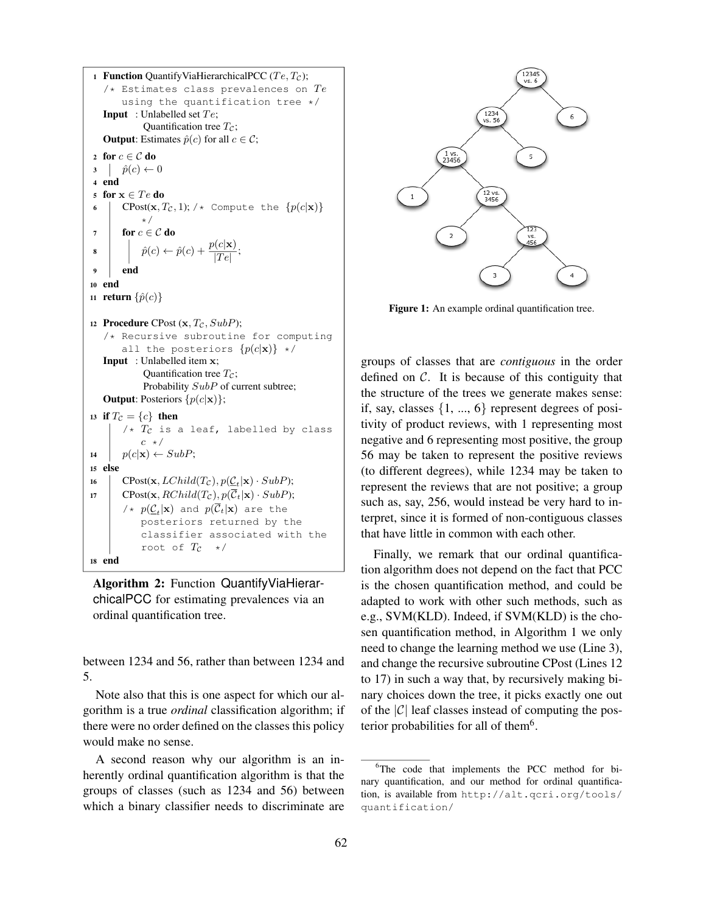```
1 Function QuantifyViaHierarchicalPCC (Te, T_c);
    /* Estimates class prevalences on Teusing the quantification tree */
   Input : Unlabelled set Te;
               Quantification tree T_c;
    Output: Estimates \hat{p}(c) for all c \in \mathcal{C};
2 for c \in \mathcal{C} do<br>3 |\hat{p}(c)| \leftarrow\hat{p}(c) \leftarrow 04 end
5 for x \in Te do
 6 CPost(\mathbf{x}, T_c, 1); /* Compute the \{p(c|\mathbf{x})\}*/
 7 for c \in \mathcal{C} do
 \hat{\mathbf{s}} \begin{array}{|c|c|c|}\n\end{array} \hat{p}(c) \leftarrow \hat{p}(c) + \frac{p(c|\mathbf{x})}{|Te|};9 end
10 end
11 return \{\hat{p}(c)\}\12 Procedure CPost (x, T_c, SubP);
    /* Recursive subroutine for computing
         all the posteriors \{p(c|\mathbf{x})\}\;\star\;\mathcal{C}Input : Unlabelled item x;
               Quantification tree T_c;
               Probability SubP of current subtree;
   Output: Posteriors \{p(c|\mathbf{x})\};
13 if T_c = \{c\} then
         /* T_c is a leaf, labelled by class
              c \star/14 p(c|\mathbf{x}) \leftarrow SubP;15 else
16 CPost(\mathbf{x}, LChild(T_{\mathcal{C}}), p(\underline{\mathcal{C}}_t|\mathbf{x}) \cdot SubP);17 CPost(x, RChild(T_{\mathcal{C}}), p(\overline{\mathcal{C}}_t|\mathbf{x}) \cdot SubP);/* p(\underline{\mathcal{C}}_t|\mathbf{x}) and p(\mathcal{C}_t|\mathbf{x}) are the
              posteriors returned by the
               classifier associated with the
               root of T_c */
18 end
```
Algorithm 2: Function QuantifyViaHierarchicalPCC for estimating prevalences via an ordinal quantification tree.

between 1234 and 56, rather than between 1234 and 5.

Note also that this is one aspect for which our algorithm is a true *ordinal* classification algorithm; if there were no order defined on the classes this policy would make no sense.

A second reason why our algorithm is an inherently ordinal quantification algorithm is that the groups of classes (such as 1234 and 56) between which a binary classifier needs to discriminate are



Figure 1: An example ordinal quantification tree.

groups of classes that are *contiguous* in the order defined on  $C$ . It is because of this contiguity that the structure of the trees we generate makes sense: if, say, classes  $\{1, ..., 6\}$  represent degrees of positivity of product reviews, with 1 representing most negative and 6 representing most positive, the group 56 may be taken to represent the positive reviews (to different degrees), while 1234 may be taken to represent the reviews that are not positive; a group such as, say, 256, would instead be very hard to interpret, since it is formed of non-contiguous classes that have little in common with each other.

Finally, we remark that our ordinal quantification algorithm does not depend on the fact that PCC is the chosen quantification method, and could be adapted to work with other such methods, such as e.g., SVM(KLD). Indeed, if SVM(KLD) is the chosen quantification method, in Algorithm 1 we only need to change the learning method we use (Line 3), and change the recursive subroutine CPost (Lines 12 to 17) in such a way that, by recursively making binary choices down the tree, it picks exactly one out of the  $|\mathcal{C}|$  leaf classes instead of computing the posterior probabilities for all of them<sup>6</sup>.

<sup>6</sup>The code that implements the PCC method for binary quantification, and our method for ordinal quantification, is available from http://alt.qcri.org/tools/ quantification/